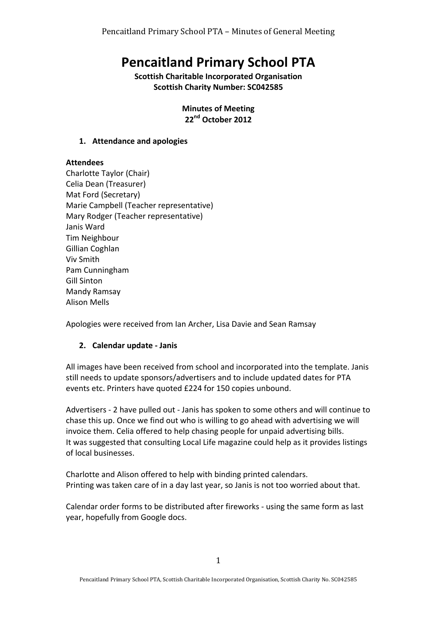# **Pencaitland Primary School PTA**

**Scottish Charitable Incorporated Organisation Scottish Charity Number: SC042585** 

> **Minutes of Meeting 22nd October 2012**

#### **1. Attendance and apologies**

## **Attendees**

Charlotte Taylor (Chair) Celia Dean (Treasurer) Mat Ford (Secretary) Marie Campbell (Teacher representative) Mary Rodger (Teacher representative) Janis Ward Tim Neighbour Gillian Coghlan Viv Smith Pam Cunningham Gill Sinton Mandy Ramsay Alison Mells

Apologies were received from Ian Archer, Lisa Davie and Sean Ramsay

## **2. Calendar update - Janis**

All images have been received from school and incorporated into the template. Janis still needs to update sponsors/advertisers and to include updated dates for PTA events etc. Printers have quoted £224 for 150 copies unbound.

Advertisers - 2 have pulled out - Janis has spoken to some others and will continue to chase this up. Once we find out who is willing to go ahead with advertising we will invoice them. Celia offered to help chasing people for unpaid advertising bills. It was suggested that consulting Local Life magazine could help as it provides listings of local businesses.

Charlotte and Alison offered to help with binding printed calendars. Printing was taken care of in a day last year, so Janis is not too worried about that.

Calendar order forms to be distributed after fireworks - using the same form as last year, hopefully from Google docs.